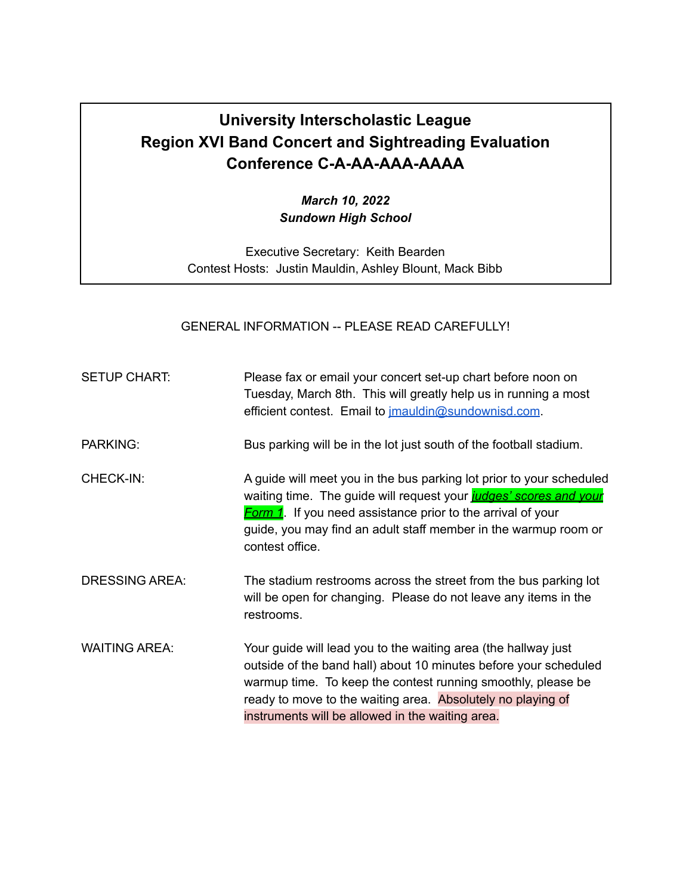## **University Interscholastic League Region XVI Band Concert and Sightreading Evaluation Conference C-A-AA-AAA-AAAA**

*March 10, 2022 Sundown High School*

Executive Secretary: Keith Bearden Contest Hosts: Justin Mauldin, Ashley Blount, Mack Bibb

GENERAL INFORMATION -- PLEASE READ CAREFULLY!

| <b>SETUP CHART:</b>   | Please fax or email your concert set-up chart before noon on<br>Tuesday, March 8th. This will greatly help us in running a most<br>efficient contest. Email to <i>imauldin@sundownisd.com.</i>                                                                                                                        |
|-----------------------|-----------------------------------------------------------------------------------------------------------------------------------------------------------------------------------------------------------------------------------------------------------------------------------------------------------------------|
| <b>PARKING:</b>       | Bus parking will be in the lot just south of the football stadium.                                                                                                                                                                                                                                                    |
| CHECK-IN:             | A guide will meet you in the bus parking lot prior to your scheduled<br>waiting time. The guide will request your judges' scores and your<br><b>Form 1</b> . If you need assistance prior to the arrival of your<br>guide, you may find an adult staff member in the warmup room or<br>contest office.                |
| <b>DRESSING AREA:</b> | The stadium restrooms across the street from the bus parking lot<br>will be open for changing. Please do not leave any items in the<br>restrooms.                                                                                                                                                                     |
| <b>WAITING AREA:</b>  | Your guide will lead you to the waiting area (the hallway just<br>outside of the band hall) about 10 minutes before your scheduled<br>warmup time. To keep the contest running smoothly, please be<br>ready to move to the waiting area. Absolutely no playing of<br>instruments will be allowed in the waiting area. |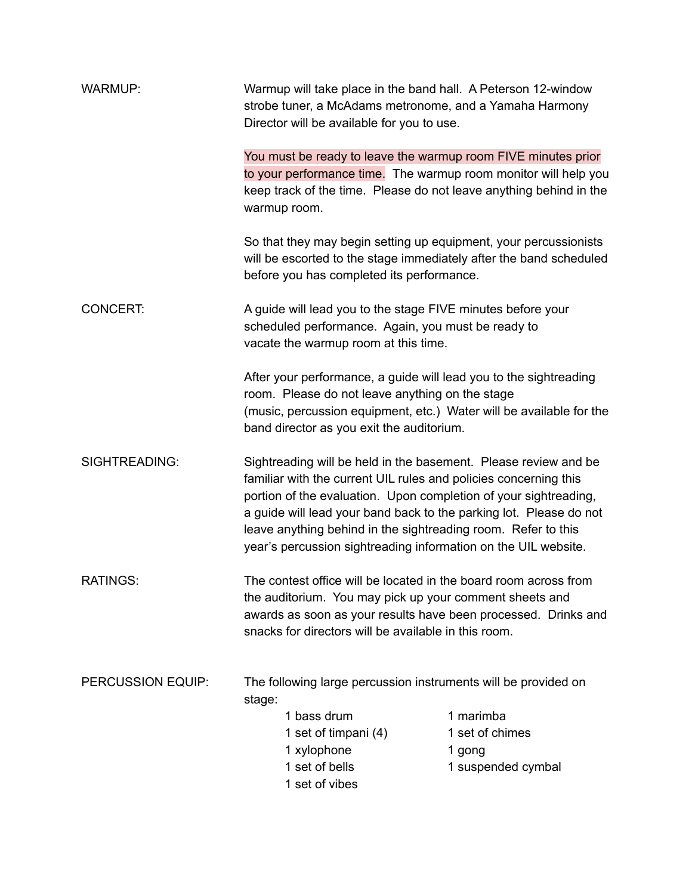| <b>WARMUP:</b>       | Warmup will take place in the band hall. A Peterson 12-window<br>strobe tuner, a McAdams metronome, and a Yamaha Harmony<br>Director will be available for you to use.                                                                                                                                                                                                                                           |                                                              |  |
|----------------------|------------------------------------------------------------------------------------------------------------------------------------------------------------------------------------------------------------------------------------------------------------------------------------------------------------------------------------------------------------------------------------------------------------------|--------------------------------------------------------------|--|
|                      | You must be ready to leave the warmup room FIVE minutes prior<br>to your performance time. The warmup room monitor will help you<br>keep track of the time. Please do not leave anything behind in the<br>warmup room.                                                                                                                                                                                           |                                                              |  |
|                      | So that they may begin setting up equipment, your percussionists<br>will be escorted to the stage immediately after the band scheduled<br>before you has completed its performance.                                                                                                                                                                                                                              |                                                              |  |
| <b>CONCERT:</b>      | A guide will lead you to the stage FIVE minutes before your<br>scheduled performance. Again, you must be ready to<br>vacate the warmup room at this time.                                                                                                                                                                                                                                                        |                                                              |  |
|                      | After your performance, a guide will lead you to the sightreading<br>room. Please do not leave anything on the stage<br>(music, percussion equipment, etc.) Water will be available for the<br>band director as you exit the auditorium.                                                                                                                                                                         |                                                              |  |
| <b>SIGHTREADING:</b> | Sightreading will be held in the basement. Please review and be<br>familiar with the current UIL rules and policies concerning this<br>portion of the evaluation. Upon completion of your sightreading,<br>a guide will lead your band back to the parking lot. Please do not<br>leave anything behind in the sightreading room. Refer to this<br>year's percussion sightreading information on the UIL website. |                                                              |  |
| <b>RATINGS:</b>      | The contest office will be located in the board room across from<br>the auditorium. You may pick up your comment sheets and<br>awards as soon as your results have been processed. Drinks and<br>snacks for directors will be available in this room.                                                                                                                                                            |                                                              |  |
| PERCUSSION EQUIP:    | The following large percussion instruments will be provided on<br>stage:<br>1 bass drum<br>1 set of timpani (4)<br>1 xylophone<br>1 set of bells<br>1 set of vibes                                                                                                                                                                                                                                               | 1 marimba<br>1 set of chimes<br>1 gong<br>1 suspended cymbal |  |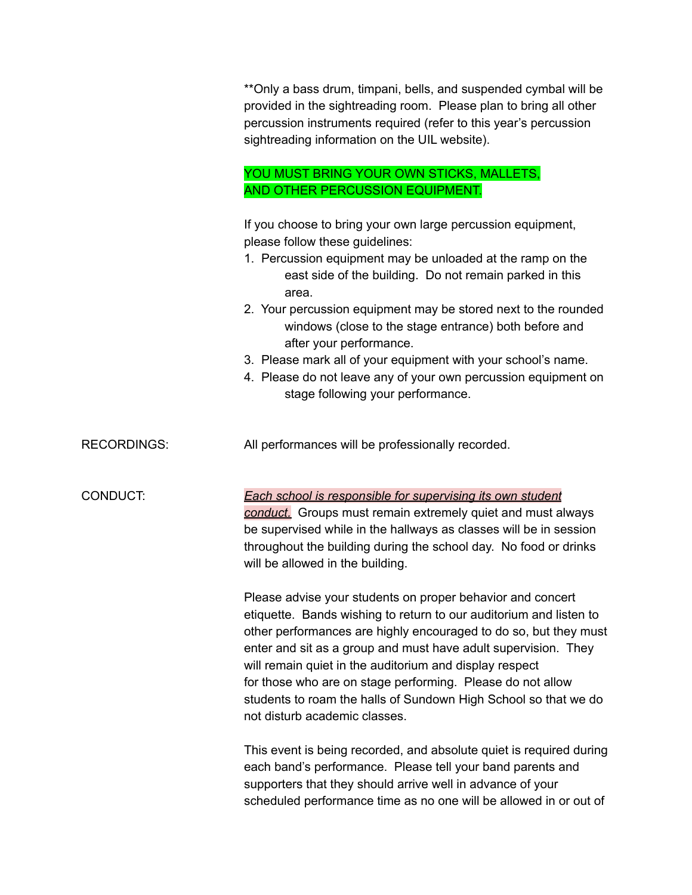|                    | ** Only a bass drum, timpani, bells, and suspended cymbal will be<br>provided in the sightreading room. Please plan to bring all other<br>percussion instruments required (refer to this year's percussion<br>sightreading information on the UIL website).                                                                                                                                                                                                                                                               |
|--------------------|---------------------------------------------------------------------------------------------------------------------------------------------------------------------------------------------------------------------------------------------------------------------------------------------------------------------------------------------------------------------------------------------------------------------------------------------------------------------------------------------------------------------------|
|                    | YOU MUST BRING YOUR OWN STICKS, MALLETS,<br>AND OTHER PERCUSSION EQUIPMENT.                                                                                                                                                                                                                                                                                                                                                                                                                                               |
|                    | If you choose to bring your own large percussion equipment,<br>please follow these guidelines:<br>1. Percussion equipment may be unloaded at the ramp on the<br>east side of the building. Do not remain parked in this<br>area.<br>2. Your percussion equipment may be stored next to the rounded<br>windows (close to the stage entrance) both before and<br>after your performance.<br>3. Please mark all of your equipment with your school's name.<br>4. Please do not leave any of your own percussion equipment on |
|                    | stage following your performance.                                                                                                                                                                                                                                                                                                                                                                                                                                                                                         |
| <b>RECORDINGS:</b> | All performances will be professionally recorded.                                                                                                                                                                                                                                                                                                                                                                                                                                                                         |
| CONDUCT:           | Each school is responsible for supervising its own student<br>conduct. Groups must remain extremely quiet and must always<br>be supervised while in the hallways as classes will be in session<br>throughout the building during the school day. No food or drinks<br>will be allowed in the building.                                                                                                                                                                                                                    |
|                    | Please advise your students on proper behavior and concert<br>etiquette. Bands wishing to return to our auditorium and listen to<br>other performances are highly encouraged to do so, but they must<br>enter and sit as a group and must have adult supervision. They<br>will remain quiet in the auditorium and display respect<br>for those who are on stage performing. Please do not allow<br>students to roam the halls of Sundown High School so that we do<br>not disturb academic classes.                       |
|                    | This event is being recorded, and absolute quiet is required during<br>each band's performance. Please tell your band parents and<br>supporters that they should arrive well in advance of your                                                                                                                                                                                                                                                                                                                           |

scheduled performance time as no one will be allowed in or out of